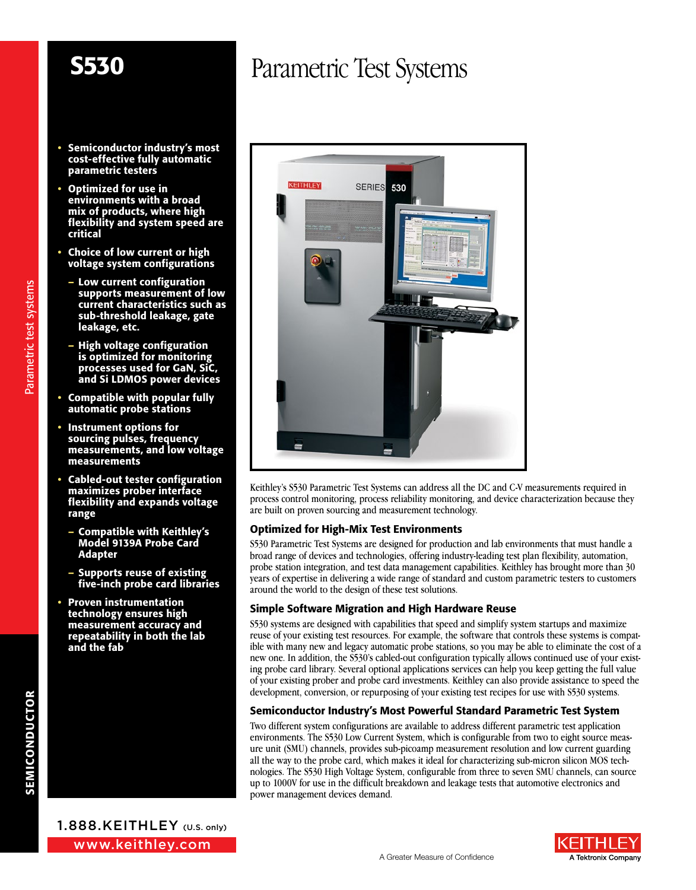**SERIES** 

530

KEITHLEY

- Semiconductor industry's most cost-effective fully automatic parametric testers
- Optimized for use in environments with a broad mix of products, where high flexibility and system speed are critical
- Choice of low current or high voltage system configurations
	- Low current configuration supports measurement of low current characteristics such as sub-threshold leakage, gate leakage, etc.
- High voltage configuration is optimized for monitoring processes used for GaN, SiC, and Si LDMOS power devices
- Compatible with popular fully automatic probe stations
- Instrument options for sourcing pulses, frequency measurements, and low voltage measurements
- Cabled-out tester configuration maximizes prober interface flexibility and expands voltage range
- Compatible with Keithley's Model 9139A Probe Card Adapter
- Supports reuse of existing five-inch probe card libraries
- Proven instrumentation technology ensures high measurement accuracy and repeatability in both the lab and the fab



Parametric test systems

Parametric test systems



S530 Parametric Test Systems are designed for production and lab environments that must handle a broad range of devices and technologies, offering industry-leading test plan flexibility, automation, probe station integration, and test data management capabilities. Keithley has brought more than 30 years of expertise in delivering a wide range of standard and custom parametric testers to customers around the world to the design of these test solutions.

#### Simple Software Migration and High Hardware Reuse

S530 systems are designed with capabilities that speed and simplify system startups and maximize reuse of your existing test resources. For example, the software that controls these systems is compatible with many new and legacy automatic probe stations, so you may be able to eliminate the cost of a new one. In addition, the S530's cabled-out configuration typically allows continued use of your existing probe card library. Several optional applications services can help you keep getting the full value of your existing prober and probe card investments. Keithley can also provide assistance to speed the development, conversion, or repurposing of your existing test recipes for use with S530 systems.

#### Semiconductor Industry's Most Powerful Standard Parametric Test System

Two different system configurations are available to address different parametric test application environments. The S530 Low Current System, which is configurable from two to eight source measure unit (SMU) channels, provides sub-picoamp measurement resolution and low current guarding all the way to the probe card, which makes it ideal for characterizing sub-micron silicon MOS technologies. The S530 High Voltage System, configurable from three to seven SMU channels, can source up to 1000V for use in the difficult breakdown and leakage tests that automotive electronics and power management devices demand.

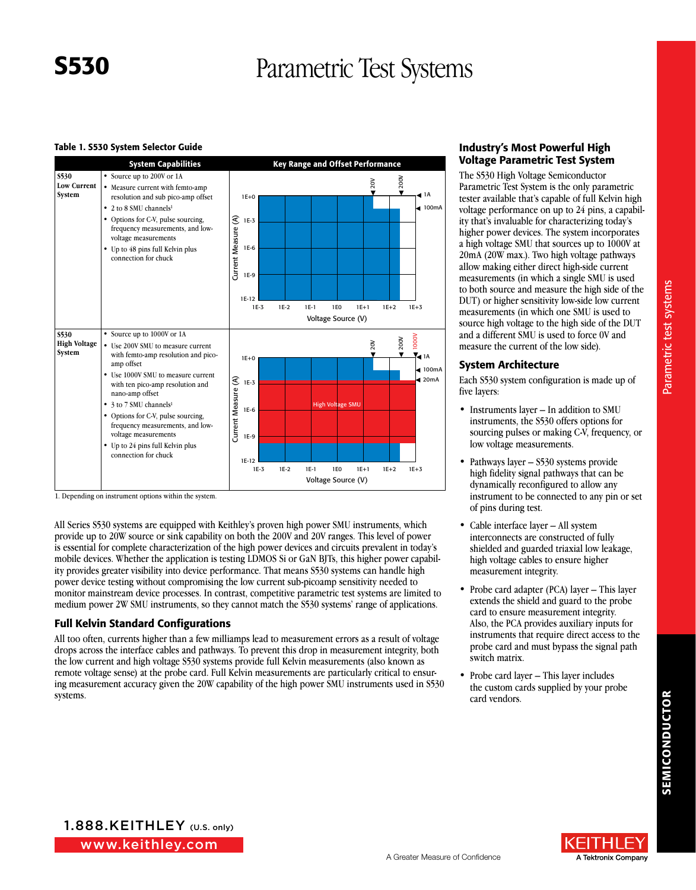#### Table 1. S530 System Selector Guide



1. Depending on instrument options within the system.

All Series S530 systems are equipped with Keithley's proven high power SMU instruments, which provide up to 20W source or sink capability on both the 200V and 20V ranges. This level of power is essential for complete characterization of the high power devices and circuits prevalent in today's mobile devices. Whether the application is testing LDMOS Si or GaN BJTs, this higher power capability provides greater visibility into device performance. That means S530 systems can handle high power device testing without compromising the low current sub-picoamp sensitivity needed to monitor mainstream device processes. In contrast, competitive parametric test systems are limited to medium power 2W SMU instruments, so they cannot match the S530 systems' range of applications.

#### Full Kelvin Standard Configurations

All too often, currents higher than a few milliamps lead to measurement errors as a result of voltage drops across the interface cables and pathways. To prevent this drop in measurement integrity, both the low current and high voltage S530 systems provide full Kelvin measurements (also known as remote voltage sense) at the probe card. Full Kelvin measurements are particularly critical to ensuring measurement accuracy given the 20W capability of the high power SMU instruments used in S530 systems.

### Industry's Most Powerful High Voltage Parametric Test System

The S530 High Voltage Semiconductor Parametric Test System is the only parametric tester available that's capable of full Kelvin high voltage performance on up to 24 pins, a capability that's invaluable for characterizing today's higher power devices. The system incorporates a high voltage SMU that sources up to 1000V at 20mA (20W max.). Two high voltage pathways allow making either direct high-side current measurements (in which a single SMU is used to both source and measure the high side of the DUT) or higher sensitivity low-side low current measurements (in which one SMU is used to source high voltage to the high side of the DUT and a different SMU is used to force 0V and measure the current of the low side).

#### System Architecture

Each S530 system configuration is made up of five layers:

- Instruments layer In addition to SMU instruments, the S530 offers options for sourcing pulses or making C-V, frequency, or low voltage measurements.
- Pathways layer S530 systems provide high fidelity signal pathways that can be dynamically reconfigured to allow any instrument to be connected to any pin or set of pins during test.
- Cable interface layer All system interconnects are constructed of fully shielded and guarded triaxial low leakage, high voltage cables to ensure higher measurement integrity.
- Probe card adapter (PCA) layer This layer extends the shield and guard to the probe card to ensure measurement integrity. Also, the PCA provides auxiliary inputs for instruments that require direct access to the probe card and must bypass the signal path switch matrix.
- Probe card layer This layer includes the custom cards supplied by your probe card vendors.

www.keithley.com 1.888.KEITHLEY (U.S. only)

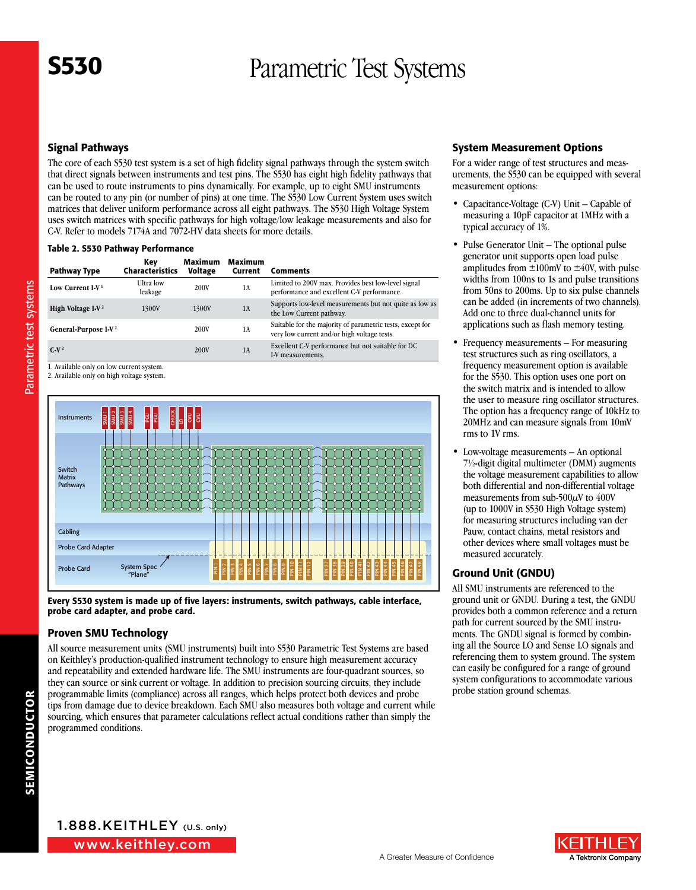### Signal Pathways

The core of each S530 test system is a set of high fidelity signal pathways through the system switch that direct signals between instruments and test pins. The S530 has eight high fidelity pathways that can be used to route instruments to pins dynamically. For example, up to eight SMU instruments can be routed to any pin (or number of pins) at one time. The S530 Low Current System uses switch matrices that deliver uniform performance across all eight pathways. The S530 High Voltage System uses switch matrices with specific pathways for high voltage/low leakage measurements and also for C-V. Refer to models 7174A and 7072-HV data sheets for more details.

#### Table 2. S530 Pathway Performance

| Pathway Type                     | Key<br><b>Characteristics</b> | <b>Maximum</b><br><b>Voltage</b> | Maximum<br>Current | <b>Comments</b>                                                                                          |
|----------------------------------|-------------------------------|----------------------------------|--------------------|----------------------------------------------------------------------------------------------------------|
| Low Current $I-V1$               | <b>Ultra</b> low<br>leakage   | 200V                             | 1A                 | Limited to 200V max. Provides best low-level signal<br>performance and excellent C-V performance.        |
| High Voltage I-V <sup>2</sup>    | 1300V                         | 1300V                            | 1A                 | Supports low-level measurements but not quite as low as<br>the Low Current pathway.                      |
| General-Purpose I-V <sup>2</sup> |                               | 200V                             | 1 A                | Suitable for the majority of parametric tests, except for<br>very low current and/or high voltage tests. |
| $C-V^2$                          |                               | 200V                             | 1A                 | Excellent C-V performance but not suitable for DC<br>I-V measurements.                                   |

1. Available only on low current system.

Parametric test systems Parametric test systems

2. Available only on high voltage system.



Every S530 system is made up of five layers: instruments, switch pathways, cable interface, probe card adapter, and probe card.

#### Proven SMU Technology

All source measurement units (SMU instruments) built into S530 Parametric Test Systems are based on Keithley's production-qualified instrument technology to ensure high measurement accuracy and repeatability and extended hardware life. The SMU instruments are four-quadrant sources, so they can source or sink current or voltage. In addition to precision sourcing circuits, they include programmable limits (compliance) across all ranges, which helps protect both devices and probe tips from damage due to device breakdown. Each SMU also measures both voltage and current while sourcing, which ensures that parameter calculations reflect actual conditions rather than simply the programmed conditions.

#### System Measurement Options

For a wider range of test structures and measurements, the S530 can be equipped with several measurement options:

- Capacitance-Voltage (C-V) Unit Capable of measuring a 10pF capacitor at 1MHz with a typical accuracy of 1%.
- Pulse Generator Unit The optional pulse generator unit supports open load pulse amplitudes from  $\pm 100$ mV to  $\pm 40$ V, with pulse widths from 100ns to 1s and pulse transitions from 50ns to 200ms. Up to six pulse channels can be added (in increments of two channels). Add one to three dual-channel units for applications such as flash memory testing.
- Frequency measurements For measuring test structures such as ring oscillators, a frequency measurement option is available for the S530. This option uses one port on the switch matrix and is intended to allow the user to measure ring oscillator structures. The option has a frequency range of 10kHz to 20MHz and can measure signals from 10mV rms to 1V rms.
- Low-voltage measurements An optional 7½-digit digital multimeter (DMM) augments the voltage measurement capabilities to allow both differential and non-differential voltage measurements from sub-500 $\mu$ V to 400V (up to 1000V in S530 High Voltage system) for measuring structures including van der Pauw, contact chains, metal resistors and other devices where small voltages must be measured accurately.

#### Ground Unit (GNDU)

All SMU instruments are referenced to the ground unit or GNDU. During a test, the GNDU provides both a common reference and a return path for current sourced by the SMU instruments. The GNDU signal is formed by combining all the Source LO and Sense LO signals and referencing them to system ground. The system can easily be configured for a range of ground system configurations to accommodate various probe station ground schemas.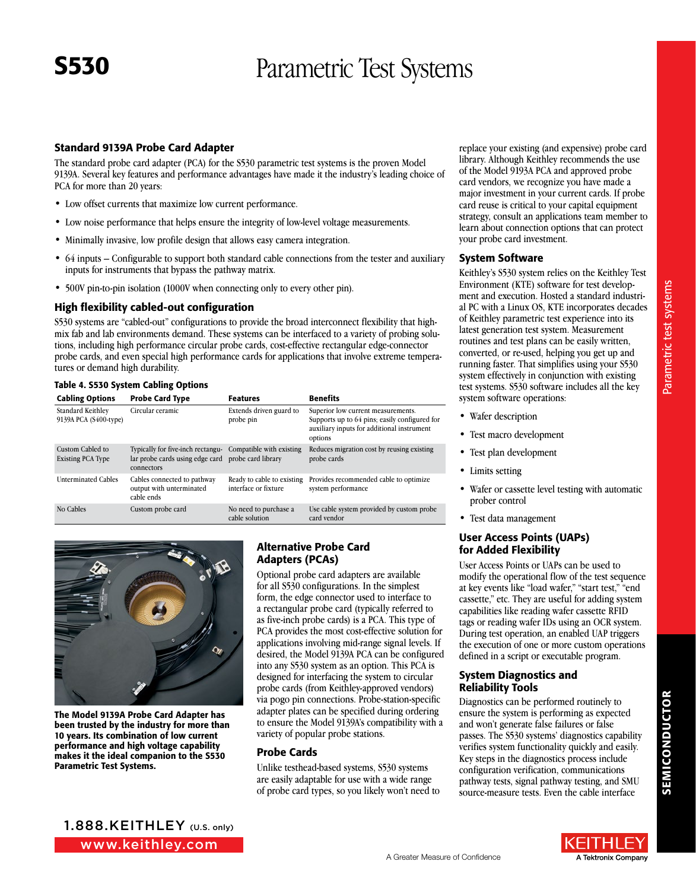#### Standard 9139A Probe Card Adapter

The standard probe card adapter (PCA) for the S530 parametric test systems is the proven Model 9139A. Several key features and performance advantages have made it the industry's leading choice of PCA for more than 20 years:

- Low offset currents that maximize low current performance.
- Low noise performance that helps ensure the integrity of low-level voltage measurements.
- Minimally invasive, low profile design that allows easy camera integration.
- 64 inputs Configurable to support both standard cable connections from the tester and auxiliary inputs for instruments that bypass the pathway matrix.
- 500V pin-to-pin isolation (1000V when connecting only to every other pin).

#### High flexibility cabled-out configuration

S530 systems are "cabled-out" configurations to provide the broad interconnect flexibility that highmix fab and lab environments demand. These systems can be interfaced to a variety of probing solutions, including high performance circular probe cards, cost-effective rectangular edge-connector probe cards, and even special high performance cards for applications that involve extreme temperatures or demand high durability.

#### Table 4. S530 System Cabling Options

| <b>Cabling Options</b>                       | <b>Probe Card Type</b>                                                                                                         | <b>Features</b>                                    | <b>Benefits</b>                                                                                                                              |
|----------------------------------------------|--------------------------------------------------------------------------------------------------------------------------------|----------------------------------------------------|----------------------------------------------------------------------------------------------------------------------------------------------|
| Standard Keithley<br>9139A PCA (S400-type)   | Circular ceramic                                                                                                               | Extends driven guard to<br>probe pin               | Superior low current measurements.<br>Supports up to 64 pins; easily configured for<br>auxiliary inputs for additional instrument<br>options |
| Custom Cabled to<br><b>Existing PCA Type</b> | Typically for five-inch rectangu- Compatible with existing<br>lar probe cards using edge card probe card library<br>connectors |                                                    | Reduces migration cost by reusing existing<br>probe cards                                                                                    |
| <b>Unterminated Cables</b>                   | Cables connected to pathway<br>output with unterminated<br>cable ends                                                          | Ready to cable to existing<br>interface or fixture | Provides recommended cable to optimize<br>system performance                                                                                 |
| No Cables                                    | Custom probe card                                                                                                              | No need to purchase a<br>cable solution            | Use cable system provided by custom probe<br>card vendor                                                                                     |



The Model 9139A Probe Card Adapter has been trusted by the industry for more than 10 years. Its combination of low current performance and high voltage capability makes it the ideal companion to the S530 Parametric Test Systems.

#### Alternative Probe Card Adapters (PCAs)

Optional probe card adapters are available for all S530 configurations. In the simplest form, the edge connector used to interface to a rectangular probe card (typically referred to as five-inch probe cards) is a PCA. This type of PCA provides the most cost-effective solution for applications involving mid-range signal levels. If desired, the Model 9139A PCA can be configured into any S530 system as an option. This PCA is designed for interfacing the system to circular probe cards (from Keithley-approved vendors) via pogo pin connections. Probe-station-specific adapter plates can be specified during ordering to ensure the Model 9139A's compatibility with a variety of popular probe stations.

#### Probe Cards

Unlike testhead-based systems, S530 systems are easily adaptable for use with a wide range of probe card types, so you likely won't need to replace your existing (and expensive) probe card library. Although Keithley recommends the use of the Model 9193A PCA and approved probe card vendors, we recognize you have made a major investment in your current cards. If probe card reuse is critical to your capital equipment strategy, consult an applications team member to learn about connection options that can protect your probe card investment.

#### System Software

Keithley's S530 system relies on the Keithley Test Environment (KTE) software for test development and execution. Hosted a standard industrial PC with a Linux OS, KTE incorporates decades of Keithley parametric test experience into its latest generation test system. Measurement routines and test plans can be easily written, converted, or re-used, helping you get up and running faster. That simplifies using your S530 system effectively in conjunction with existing test systems. S530 software includes all the key system software operations:

- Wafer description
- Test macro development
- Test plan development
- Limits setting
- Wafer or cassette level testing with automatic prober control
- Test data management

#### **User Access Points (UAPs)** for Added Flexibility

User Access Points or UAPs can be used to modify the operational flow of the test sequence at key events like "load wafer," "start test," "end cassette," etc. They are useful for adding system capabilities like reading wafer cassette RFID tags or reading wafer IDs using an OCR system. During test operation, an enabled UAP triggers the execution of one or more custom operations defined in a script or executable program.

#### System Diagnostics and Reliability Tools

Diagnostics can be performed routinely to ensure the system is performing as expected and won't generate false failures or false passes. The S530 systems' diagnostics capability verifies system functionality quickly and easily. Key steps in the diagnostics process include configuration verification, communications pathway tests, signal pathway testing, and SMU source-measure tests. Even the cable interface

SEMICONDUCTOR

**SEMICONDUCTOR** 

www.keithley.com 1.888.KEITHLEY (U.S. only)

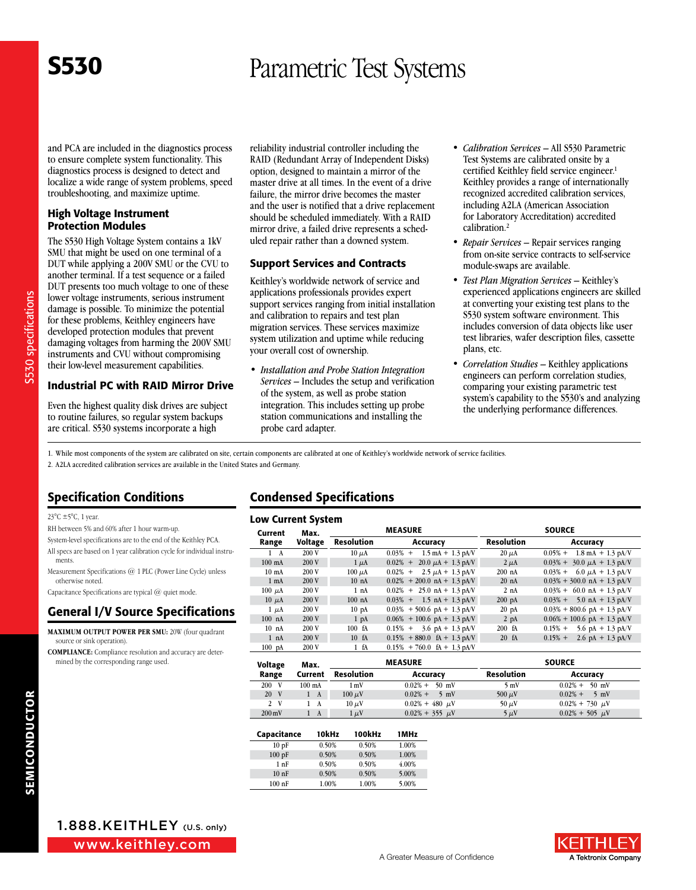and PCA are included in the diagnostics process to ensure complete system functionality. This diagnostics process is designed to detect and localize a wide range of system problems, speed troubleshooting, and maximize uptime.

#### High Voltage Instrument Protection Modules

The S530 High Voltage System contains a 1kV SMU that might be used on one terminal of a DUT while applying a 200V SMU or the CVU to another terminal. If a test sequence or a failed DUT presents too much voltage to one of these lower voltage instruments, serious instrument damage is possible. To minimize the potential for these problems, Keithley engineers have developed protection modules that prevent damaging voltages from harming the 200V SMU instruments and CVU without compromising their low-level measurement capabilities.

Industrial PC with RAID Mirror Drive

Even the highest quality disk drives are subject to routine failures, so regular system backups are critical. S530 systems incorporate a high

reliability industrial controller including the RAID (Redundant Array of Independent Disks) option, designed to maintain a mirror of the master drive at all times. In the event of a drive failure, the mirror drive becomes the master and the user is notified that a drive replacement should be scheduled immediately. With a RAID mirror drive, a failed drive represents a scheduled repair rather than a downed system.

#### Support Services and Contracts

Keithley's worldwide network of service and applications professionals provides expert support services ranging from initial installation and calibration to repairs and test plan migration services. These services maximize system utilization and uptime while reducing your overall cost of ownership.

*• Installation and Probe Station Integration Services* – Includes the setup and verification of the system, as well as probe station integration. This includes setting up probe station communications and installing the probe card adapter.

- *• Calibration Services* All S530 Parametric Test Systems are calibrated onsite by a certified Keithley field service engineer. 1 Keithley provides a range of internationally recognized accredited calibration services, including A2LA (American Association for Laboratory Accreditation) accredited calibration. 2
- *• Repair Services*  Repair services ranging from on-site service contracts to self-service module-swaps are available.
- *• Test Plan Migration Services* Keithley's experienced applications engineers are skilled at converting your existing test plans to the S530 system software environment. This includes conversion of data objects like user test libraries, wafer description files, cassette plans, etc.
- *• Correlation Studies* Keithley applications engineers can perform correlation studies, comparing your existing parametric test system's capability to the S530's and analyzing the underlying performance differences.

1. While most components of the system are calibrated on site, certain components are calibrated at one of Keithley's worldwide network of service facilities.

2. A2LA accredited calibration services are available in the United States and Germany.

### Specification Conditions

23°C ±5°C, 1 year.

- RH between 5% and 60% after 1 hour warm-up.
- System-level specifications are to the end of the Keithley PCA.
- All specs are based on 1 year calibration cycle for individual instruments.
- Measurement Specifications @ 1 PLC (Power Line Cycle) unless otherwise noted.

Capacitance Specifications are typical @ quiet mode.

### General I/V Source Specifications

**Maximum Output Power per SMU:** 20W (four quadrant source or sink operation).

**Compliance :** Compliance resolution and accuracy are determined by the corresponding range used.

### Condensed Specifications

| <b>Low Current System</b> |         |                  |                                              |                  |                                              |  |
|---------------------------|---------|------------------|----------------------------------------------|------------------|----------------------------------------------|--|
| Current<br>Max.           |         | <b>MEASURE</b>   |                                              | <b>SOURCE</b>    |                                              |  |
| Range                     | Voltage | Resolution       | Accuracy                                     | Resolution       | Accuracy                                     |  |
| $1 \quad A$               | 200V    | $10 \mu A$       | $0.03\% + 1.5 \text{ mA} + 1.3 \text{ pAV}$  | $20 \mu A$       | $0.05\% + 1.8 \text{ mA} + 1.3 \text{ pA/V}$ |  |
| $100$ mA                  | 200 V   | $1 \mu A$        | $20.0 \mu A + 1.3 \text{ pAV}$<br>$0.02\%$ + | $2 \mu A$        | $0.03\% + 30.0 \mu A + 1.3 \text{ pA/V}$     |  |
| $10 \text{ mA}$           | 200 V   | $100 \mu A$      | $0.02\%$ +<br>2.5 $\mu$ A + 1.3 pA/V         | $200$ nA         | $0.03\% + 6.0 \mu A + 1.3 \text{ pA/V}$      |  |
| $1 \text{ mA}$            | 200 V   | 10 <sub>nA</sub> | $0.02\% + 200.0$ nA + 1.3 pAV                | $20$ nA          | $0.03\% + 300.0$ nA + 1.3 pA/V               |  |
| $100 \mu A$               | 200 V   | 1 nA             | $0.02\% + 25.0$ nA + 1.3 pA/V                | 2 nA             | $0.03\% + 60.0$ nA + 1.3 pA/V                |  |
| $10 \mu A$                | 200 V   | $100$ nA         | $0.03\% + 1.5 \text{ nA} + 1.3 \text{ pA/V}$ | $200$ pA         | $0.03\% + 5.0 \text{ nA} + 1.3 \text{ pA/V}$ |  |
| $1 \mu A$                 | 200V    | 10 <sub>pA</sub> | $0.03\% + 500.6$ pA + 1.3 pA/V               | 20 <sub>pA</sub> | $0.03\% + 800.6$ pA + 1.3 pA/V               |  |
| $100$ nA                  | 200 V   | 1 <sub>pA</sub>  | $0.06\% + 100.6$ pA + 1.3 pA/V               | $2$ pA           | $0.06\% + 100.6$ pA + 1.3 pA/V               |  |
| 10 <sub>nA</sub>          | 200 V   | 100 fA           | $0.15\% + 3.6 \text{ pA} + 1.3 \text{ pA/V}$ | 200 fA           | 5.6 pA + 1.3 pA/V<br>$0.15%$ +               |  |
| 1 nA                      | 200 V   | 10 <sub>fA</sub> | $0.15\% + 880.0$ fA + 1.3 pA/V               | $20 \text{ fA}$  | 2.6 pA + 1.3 pA/V<br>$0.15%$ +               |  |
| $100$ pA                  | 200V    | $1-fA$           | $0.15\% + 760.0$ fA + 1.3 pA/V               |                  |                                              |  |

| <b>Voltage</b><br>Max. |                  | <b>MEASURE</b>  |                              |                | <b>SOURCE</b>                |
|------------------------|------------------|-----------------|------------------------------|----------------|------------------------------|
| Range                  | Current          | Resolution      | Accuracy                     | Resolution     | Accuracy                     |
| 200 V                  | $100 \text{ mA}$ | 1 <sub>mV</sub> | $0.02\% + 50$ mV             | $5 \text{ mV}$ | $0.02\% + 50$ mV             |
| 20 V                   | 1 A              | $100 \mu V$     | $0.02\% +$<br>$5 \text{ mV}$ | 500 $\mu$ V    | $0.02\% +$<br>$5 \text{ mV}$ |
| 2 V                    | 1 A              | $10 \mu V$      | $0.02\% + 480 \mu V$         | $50 \mu V$     | $0.02\% + 730 \mu V$         |
| $200 \,\mathrm{mV}$    | A                | $1 \mu V$       | $0.02\% + 355 \mu V$         | $5 \mu V$      | $0.02\% + 505 \mu V$         |

| Capacitance | 10kHz | 100kHz | 1MHz  |
|-------------|-------|--------|-------|
| 10pF        | 0.50% | 0.50%  | 1.00% |
| 100pF       | 0.50% | 0.50%  | 1.00% |
| 1nF         | 0.50% | 0.50%  | 4.00% |
| 10nF        | 0.50% | 0.50%  | 5.00% |
| $100$ nF    | 1.00% | 1.00%  | 5.00% |

www.keithley.com